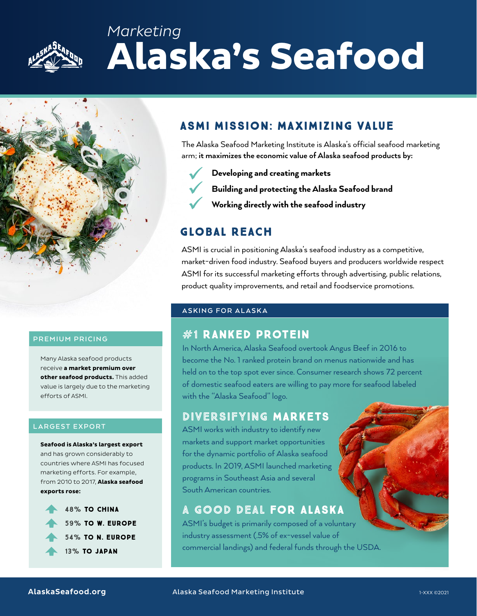

## *Marketing*  **Alaska's Seafood**



#### **PREMIUM PRICING**

Many Alaska seafood products receive **a market premium over other seafood products.** This added value is largely due to the marketing efforts of ASMI.

#### **LARGEST EXPORT**

**Seafood is Alaska's largest export**  and has grown considerably to countries where ASMI has focused marketing efforts. For example, from 2010 to 2017, **Alaska seafood exports rose:**



## ASMI MISSION: MAXIMIZING VALUE

The Alaska Seafood Marketing Institute is Alaska's official seafood marketing arm; **it maximizes the economic value of Alaska seafood products by:**

- Developing and creating markets
- Building and protecting the Alaska Seafood brand
- Working directly with the seafood industry

## GLOBAL REACH

ASMI is crucial in positioning Alaska's seafood industry as a competitive, market-driven food industry. Seafood buyers and producers worldwide respect ASMI for its successful marketing efforts through advertising, public relations, product quality improvements, and retail and foodservice promotions.

#### **ASKING FOR ALASKA**

## **#1 RANKED PROTEIN**

In North America, Alaska Seafood overtook Angus Beef in 2016 to become the No. 1 ranked protein brand on menus nationwide and has held on to the top spot ever since. Consumer research shows 72 percent of domestic seafood eaters are willing to pay more for seafood labeled with the "Alaska Seafood" logo.

### DIVERSIFYING MARKETS

ASMI works with industry to identify new markets and support market opportunities for the dynamic portfolio of Alaska seafood products. In 2019, ASMI launched marketing programs in Southeast Asia and several South American countries.

## A GOOD DEAL FOR ALASKA

ASMI's budget is primarily composed of a voluntary industry assessment (.5% of ex-vessel value of commercial landings) and federal funds through the USDA.